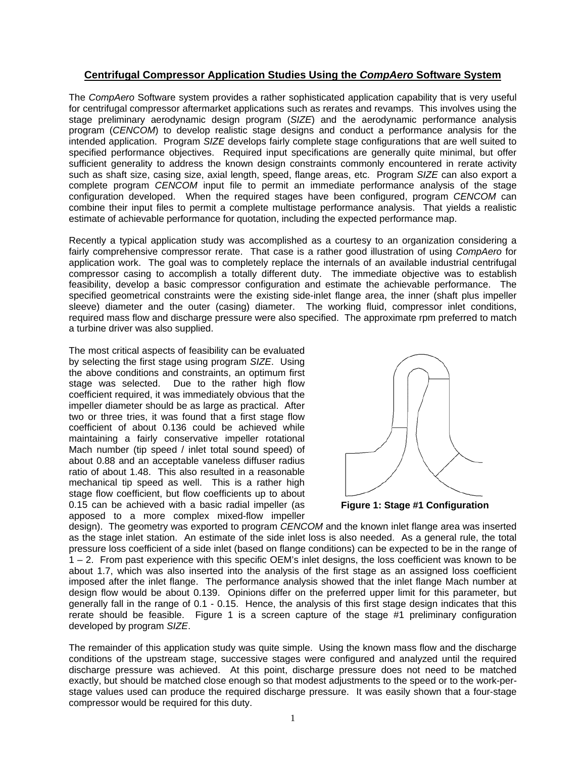## **Centrifugal Compressor Application Studies Using the** *CompAero* **Software System**

The *CompAero* Software system provides a rather sophisticated application capability that is very useful for centrifugal compressor aftermarket applications such as rerates and revamps. This involves using the stage preliminary aerodynamic design program (*SIZE*) and the aerodynamic performance analysis program (*CENCOM*) to develop realistic stage designs and conduct a performance analysis for the intended application. Program *SIZE* develops fairly complete stage configurations that are well suited to specified performance objectives. Required input specifications are generally quite minimal, but offer sufficient generality to address the known design constraints commonly encountered in rerate activity such as shaft size, casing size, axial length, speed, flange areas, etc. Program *SIZE* can also export a complete program *CENCOM* input file to permit an immediate performance analysis of the stage configuration developed. When the required stages have been configured, program *CENCOM* can combine their input files to permit a complete multistage performance analysis. That yields a realistic estimate of achievable performance for quotation, including the expected performance map.

Recently a typical application study was accomplished as a courtesy to an organization considering a fairly comprehensive compressor rerate. That case is a rather good illustration of using *CompAero* for application work. The goal was to completely replace the internals of an available industrial centrifugal compressor casing to accomplish a totally different duty. The immediate objective was to establish feasibility, develop a basic compressor configuration and estimate the achievable performance. The specified geometrical constraints were the existing side-inlet flange area, the inner (shaft plus impeller sleeve) diameter and the outer (casing) diameter. The working fluid, compressor inlet conditions, required mass flow and discharge pressure were also specified. The approximate rpm preferred to match a turbine driver was also supplied.

The most critical aspects of feasibility can be evaluated by selecting the first stage using program *SIZE*. Using the above conditions and constraints, an optimum first stage was selected. Due to the rather high flow coefficient required, it was immediately obvious that the impeller diameter should be as large as practical. After two or three tries, it was found that a first stage flow coefficient of about 0.136 could be achieved while maintaining a fairly conservative impeller rotational Mach number (tip speed / inlet total sound speed) of about 0.88 and an acceptable vaneless diffuser radius ratio of about 1.48. This also resulted in a reasonable mechanical tip speed as well. This is a rather high stage flow coefficient, but flow coefficients up to about 0.15 can be achieved with a basic radial impeller (as apposed to a more complex mixed-flow impeller



**Figure 1: Stage #1 Configuration** 

design). The geometry was exported to program *CENCOM* and the known inlet flange area was inserted as the stage inlet station. An estimate of the side inlet loss is also needed. As a general rule, the total pressure loss coefficient of a side inlet (based on flange conditions) can be expected to be in the range of 1 – 2. From past experience with this specific OEM's inlet designs, the loss coefficient was known to be about 1.7, which was also inserted into the analysis of the first stage as an assigned loss coefficient imposed after the inlet flange. The performance analysis showed that the inlet flange Mach number at design flow would be about 0.139. Opinions differ on the preferred upper limit for this parameter, but generally fall in the range of 0.1 - 0.15. Hence, the analysis of this first stage design indicates that this rerate should be feasible. Figure 1 is a screen capture of the stage #1 preliminary configuration developed by program *SIZE*.

The remainder of this application study was quite simple. Using the known mass flow and the discharge conditions of the upstream stage, successive stages were configured and analyzed until the required discharge pressure was achieved. At this point, discharge pressure does not need to be matched exactly, but should be matched close enough so that modest adjustments to the speed or to the work-perstage values used can produce the required discharge pressure. It was easily shown that a four-stage compressor would be required for this duty.